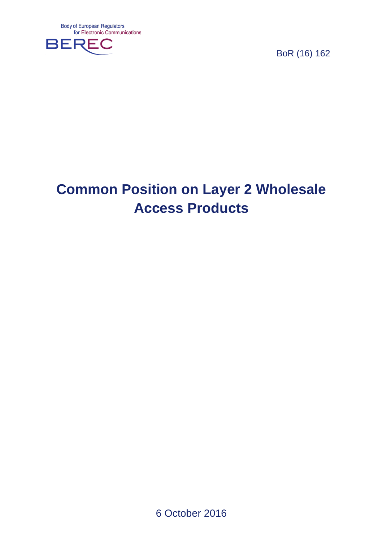

BoR (16) 162

# **Common Position on Layer 2 Wholesale Access Products**

6 October 2016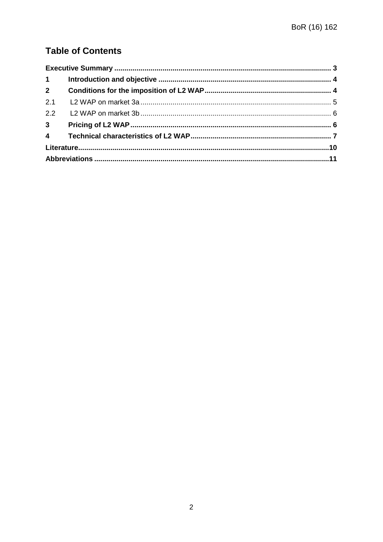# **Table of Contents**

| 2.1 |  |  |
|-----|--|--|
|     |  |  |
|     |  |  |
|     |  |  |
|     |  |  |
|     |  |  |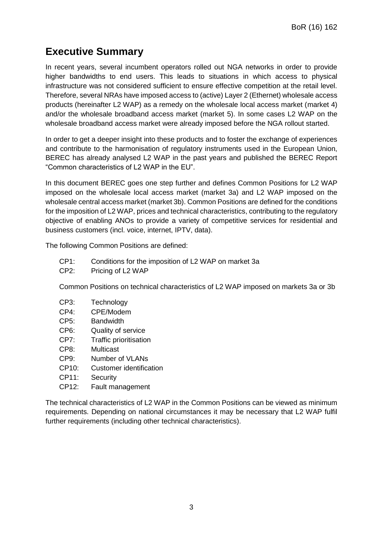# <span id="page-2-0"></span>**Executive Summary**

In recent years, several incumbent operators rolled out NGA networks in order to provide higher bandwidths to end users. This leads to situations in which access to physical infrastructure was not considered sufficient to ensure effective competition at the retail level. Therefore, several NRAs have imposed access to (active) Layer 2 (Ethernet) wholesale access products (hereinafter L2 WAP) as a remedy on the wholesale local access market (market 4) and/or the wholesale broadband access market (market 5). In some cases L2 WAP on the wholesale broadband access market were already imposed before the NGA rollout started.

In order to get a deeper insight into these products and to foster the exchange of experiences and contribute to the harmonisation of regulatory instruments used in the European Union, BEREC has already analysed L2 WAP in the past years and published the BEREC Report "Common characteristics of L2 WAP in the EU".

In this document BEREC goes one step further and defines Common Positions for L2 WAP imposed on the wholesale local access market (market 3a) and L2 WAP imposed on the wholesale central access market (market 3b). Common Positions are defined for the conditions for the imposition of L2 WAP, prices and technical characteristics, contributing to the regulatory objective of enabling ANOs to provide a variety of competitive services for residential and business customers (incl. voice, internet, IPTV, data).

The following Common Positions are defined:

- CP1: Conditions for the imposition of L2 WAP on market 3a
- CP2: Pricing of L2 WAP

Common Positions on technical characteristics of L2 WAP imposed on markets 3a or 3b

- CP3: Technology
- CP4: CPE/Modem
- CP5: Bandwidth
- CP6: Quality of service
- CP7: Traffic prioritisation
- CP8: Multicast
- CP9: Number of VLANs
- CP10: Customer identification
- CP11: Security
- CP12: Fault management

The technical characteristics of L2 WAP in the Common Positions can be viewed as minimum requirements. Depending on national circumstances it may be necessary that L2 WAP fulfil further requirements (including other technical characteristics).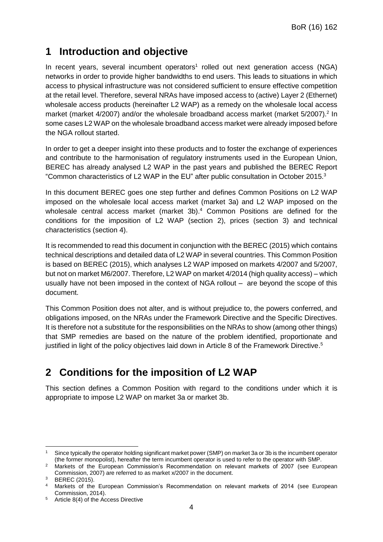## <span id="page-3-0"></span>**1 Introduction and objective**

In recent years, several incumbent operators<sup>1</sup> rolled out next generation access (NGA) networks in order to provide higher bandwidths to end users. This leads to situations in which access to physical infrastructure was not considered sufficient to ensure effective competition at the retail level. Therefore, several NRAs have imposed access to (active) Layer 2 (Ethernet) wholesale access products (hereinafter L2 WAP) as a remedy on the wholesale local access market (market 4/2007) and/or the wholesale broadband access market (market 5/2007).<sup>2</sup> In some cases L2 WAP on the wholesale broadband access market were already imposed before the NGA rollout started.

In order to get a deeper insight into these products and to foster the exchange of experiences and contribute to the harmonisation of regulatory instruments used in the European Union, BEREC has already analysed L2 WAP in the past years and published the BEREC Report "Common characteristics of L2 WAP in the EU" after public consultation in October 2015.<sup>3</sup>

In this document BEREC goes one step further and defines Common Positions on L2 WAP imposed on the wholesale local access market (market 3a) and L2 WAP imposed on the wholesale central access market (market 3b).<sup>4</sup> Common Positions are defined for the conditions for the imposition of L2 WAP (section [2\)](#page-3-1), prices (section [3\)](#page-5-1) and technical characteristics (section [4\)](#page-6-0).

It is recommended to read this document in conjunction with the BEREC (2015) which contains technical descriptions and detailed data of L2 WAP in several countries. This Common Position is based on BEREC (2015), which analyses L2 WAP imposed on markets 4/2007 and 5/2007, but not on market M6/2007. Therefore, L2 WAP on market 4/2014 (high quality access) – which usually have not been imposed in the context of NGA rollout – are beyond the scope of this document.

This Common Position does not alter, and is without prejudice to, the powers conferred, and obligations imposed, on the NRAs under the Framework Directive and the Specific Directives. It is therefore not a substitute for the responsibilities on the NRAs to show (among other things) that SMP remedies are based on the nature of the problem identified, proportionate and justified in light of the policy objectives laid down in Article 8 of the Framework Directive.<sup>5</sup>

# <span id="page-3-1"></span>**2 Conditions for the imposition of L2 WAP**

This section defines a Common Position with regard to the conditions under which it is appropriate to impose L2 WAP on market 3a or market 3b.

1

Since typically the operator holding significant market power (SMP) on market 3a or 3b is the incumbent operator (the former monopolist), hereafter the term incumbent operator is used to refer to the operator with SMP.

<sup>2</sup> Markets of the European Commission's Recommendation on relevant markets of 2007 (see European Commission, 2007) are referred to as market x/2007 in the document.

<sup>3</sup> BEREC (2015).

<sup>4</sup> Markets of the European Commission's Recommendation on relevant markets of 2014 (see European Commission, 2014).

<sup>5</sup> Article 8(4) of the Access Directive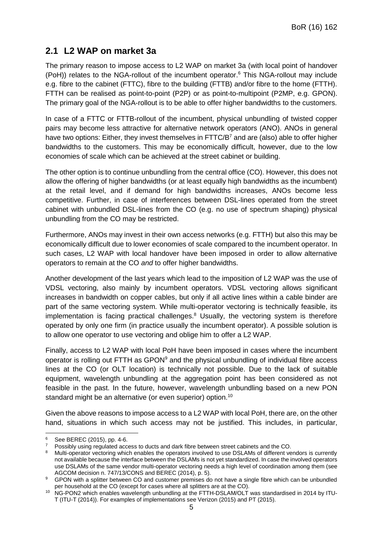### <span id="page-4-0"></span>**2.1 L2 WAP on market 3a**

The primary reason to impose access to L2 WAP on market 3a (with local point of handover (PoH)) relates to the NGA-rollout of the incumbent operator.<sup>6</sup> This NGA-rollout may include e.g. fibre to the cabinet (FTTC), fibre to the building (FTTB) and/or fibre to the home (FTTH). FTTH can be realised as point-to-point (P2P) or as point-to-multipoint (P2MP, e.g. GPON). The primary goal of the NGA-rollout is to be able to offer higher bandwidths to the customers.

In case of a FTTC or FTTB-rollout of the incumbent, physical unbundling of twisted copper pairs may become less attractive for alternative network operators (ANO). ANOs in general have two options: Either, they invest themselves in FTTC/B<sup>7</sup> and are (also) able to offer higher bandwidths to the customers. This may be economically difficult, however, due to the low economies of scale which can be achieved at the street cabinet or building.

The other option is to continue unbundling from the central office (CO). However, this does not allow the offering of higher bandwidths (or at least equally high bandwidths as the incumbent) at the retail level, and if demand for high bandwidths increases, ANOs become less competitive. Further, in case of interferences between DSL-lines operated from the street cabinet with unbundled DSL-lines from the CO (e.g. no use of spectrum shaping) physical unbundling from the CO may be restricted.

Furthermore, ANOs may invest in their own access networks (e.g. FTTH) but also this may be economically difficult due to lower economies of scale compared to the incumbent operator. In such cases, L2 WAP with local handover have been imposed in order to allow alternative operators to remain at the CO *and* to offer higher bandwidths.

Another development of the last years which lead to the imposition of L2 WAP was the use of VDSL vectoring, also mainly by incumbent operators. VDSL vectoring allows significant increases in bandwidth on copper cables, but only if all active lines within a cable binder are part of the same vectoring system. While multi-operator vectoring is technically feasible, its implementation is facing practical challenges. $8$  Usually, the vectoring system is therefore operated by only one firm (in practice usually the incumbent operator). A possible solution is to allow one operator to use vectoring and oblige him to offer a L2 WAP.

Finally, access to L2 WAP with local PoH have been imposed in cases where the incumbent operator is rolling out FTTH as  $\text{GPON}^9$  and the physical unbundling of individual fibre access lines at the CO (or OLT location) is technically not possible. Due to the lack of suitable equipment, wavelength unbundling at the aggregation point has been considered as not feasible in the past. In the future, however, wavelength unbundling based on a new PON standard might be an alternative (or even superior) option.<sup>10</sup>

Given the above reasons to impose access to a L2 WAP with local PoH, there are, on the other hand, situations in which such access may not be justified. This includes, in particular,

-

<sup>6</sup> See BEREC (2015), pp. 4-6.

<sup>7</sup> Possibly using regulated access to ducts and dark fibre between street cabinets and the CO.

Multi-operator vectoring which enables the operators involved to use DSLAMs of different vendors is currently not available because the interface between the DSLAMs is not yet standardized. In case the involved operators use DSLAMs of the same vendor multi-operator vectoring needs a high level of coordination among them (see AGCOM decision n. 747/13/CONS and BEREC (2014), p. 5).

<sup>9</sup> GPON with a splitter between CO and customer premises do not have a single fibre which can be unbundled per household at the CO (except for cases where all splitters are at the CO).

<sup>10</sup> NG-PON2 which enables wavelength unbundling at the FTTH-DSLAM/OLT was standardised in 2014 by ITU-T (ITU-T (2014)). For examples of implementations see Verizon (2015) and PT (2015).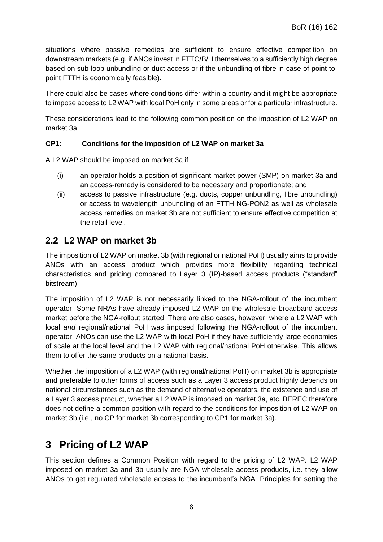situations where passive remedies are sufficient to ensure effective competition on downstream markets (e.g. if ANOs invest in FTTC/B/H themselves to a sufficiently high degree based on sub-loop unbundling or duct access or if the unbundling of fibre in case of point-topoint FTTH is economically feasible).

There could also be cases where conditions differ within a country and it might be appropriate to impose access to L2 WAP with local PoH only in some areas or for a particular infrastructure.

These considerations lead to the following common position on the imposition of L2 WAP on market 3a:

#### **CP1: Conditions for the imposition of L2 WAP on market 3a**

A L2 WAP should be imposed on market 3a if

- (i) an operator holds a position of significant market power (SMP) on market 3a and an access-remedy is considered to be necessary and proportionate; and
- (ii) access to passive infrastructure (e.g. ducts, copper unbundling, fibre unbundling) or access to wavelength unbundling of an FTTH NG-PON2 as well as wholesale access remedies on market 3b are not sufficient to ensure effective competition at the retail level.

#### <span id="page-5-0"></span>**2.2 L2 WAP on market 3b**

The imposition of L2 WAP on market 3b (with regional or national PoH) usually aims to provide ANOs with an access product which provides more flexibility regarding technical characteristics and pricing compared to Layer 3 (IP)-based access products ("standard" bitstream).

The imposition of L2 WAP is not necessarily linked to the NGA-rollout of the incumbent operator. Some NRAs have already imposed L2 WAP on the wholesale broadband access market before the NGA-rollout started. There are also cases, however, where a L2 WAP with local *and* regional/national PoH was imposed following the NGA-rollout of the incumbent operator. ANOs can use the L2 WAP with local PoH if they have sufficiently large economies of scale at the local level and the L2 WAP with regional/national PoH otherwise. This allows them to offer the same products on a national basis.

Whether the imposition of a L2 WAP (with regional/national PoH) on market 3b is appropriate and preferable to other forms of access such as a Layer 3 access product highly depends on national circumstances such as the demand of alternative operators, the existence and use of a Layer 3 access product, whether a L2 WAP is imposed on market 3a, etc. BEREC therefore does not define a common position with regard to the conditions for imposition of L2 WAP on market 3b (i.e., no CP for market 3b corresponding to CP1 for market 3a).

### <span id="page-5-1"></span>**3 Pricing of L2 WAP**

This section defines a Common Position with regard to the pricing of L2 WAP. L2 WAP imposed on market 3a and 3b usually are NGA wholesale access products, i.e. they allow ANOs to get regulated wholesale access to the incumbent's NGA. Principles for setting the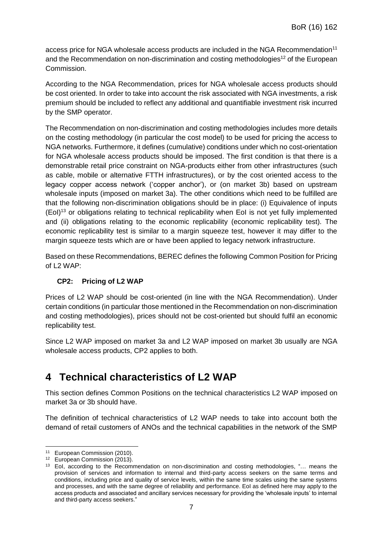access price for NGA wholesale access products are included in the NGA Recommendation<sup>11</sup> and the Recommendation on non-discrimination and costing methodologies<sup>12</sup> of the European Commission.

According to the NGA Recommendation, prices for NGA wholesale access products should be cost oriented. In order to take into account the risk associated with NGA investments, a risk premium should be included to reflect any additional and quantifiable investment risk incurred by the SMP operator.

The Recommendation on non-discrimination and costing methodologies includes more details on the costing methodology (in particular the cost model) to be used for pricing the access to NGA networks. Furthermore, it defines (cumulative) conditions under which no cost-orientation for NGA wholesale access products should be imposed. The first condition is that there is a demonstrable retail price constraint on NGA-products either from other infrastructures (such as cable, mobile or alternative FTTH infrastructures), or by the cost oriented access to the legacy copper access network ('copper anchor'), or (on market 3b) based on upstream wholesale inputs (imposed on market 3a). The other conditions which need to be fulfilled are that the following non-discrimination obligations should be in place: (i) Equivalence of inputs (EoI)<sup>13</sup> or obligations relating to technical replicability when EoI is not yet fully implemented and (ii) obligations relating to the economic replicability (economic replicability test). The economic replicability test is similar to a margin squeeze test, however it may differ to the margin squeeze tests which are or have been applied to legacy network infrastructure.

Based on these Recommendations, BEREC defines the following Common Position for Pricing of L2 WAP:

#### **CP2: Pricing of L2 WAP**

Prices of L2 WAP should be cost-oriented (in line with the NGA Recommendation). Under certain conditions (in particular those mentioned in the Recommendation on non-discrimination and costing methodologies), prices should not be cost-oriented but should fulfil an economic replicability test.

Since L2 WAP imposed on market 3a and L2 WAP imposed on market 3b usually are NGA wholesale access products, CP2 applies to both.

### <span id="page-6-0"></span>**4 Technical characteristics of L2 WAP**

This section defines Common Positions on the technical characteristics L2 WAP imposed on market 3a or 3b should have.

The definition of technical characteristics of L2 WAP needs to take into account both the demand of retail customers of ANOs and the technical capabilities in the network of the SMP

1

<sup>11</sup> European Commission (2010).

<sup>12</sup> European Commission (2013).

<sup>13</sup> EoI, according to the Recommendation on non-discrimination and costing methodologies, "… means the provision of services and information to internal and third-party access seekers on the same terms and conditions, including price and quality of service levels, within the same time scales using the same systems and processes, and with the same degree of reliability and performance. EoI as defined here may apply to the access products and associated and ancillary services necessary for providing the 'wholesale inputs' to internal and third-party access seekers."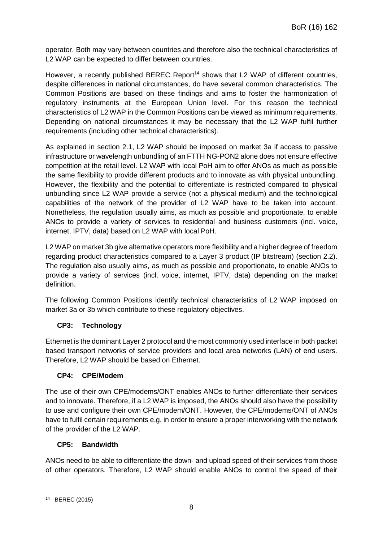operator. Both may vary between countries and therefore also the technical characteristics of L2 WAP can be expected to differ between countries.

However, a recently published BEREC Report<sup>14</sup> shows that L2 WAP of different countries, despite differences in national circumstances, do have several common characteristics. The Common Positions are based on these findings and aims to foster the harmonization of regulatory instruments at the European Union level. For this reason the technical characteristics of L2 WAP in the Common Positions can be viewed as minimum requirements. Depending on national circumstances it may be necessary that the L2 WAP fulfil further requirements (including other technical characteristics).

As explained in section [2.1,](#page-4-0) L2 WAP should be imposed on market 3a if access to passive infrastructure or wavelength unbundling of an FTTH NG-PON2 alone does not ensure effective competition at the retail level. L2 WAP with local PoH aim to offer ANOs as much as possible the same flexibility to provide different products and to innovate as with physical unbundling. However, the flexibility and the potential to differentiate is restricted compared to physical unbundling since L2 WAP provide a service (not a physical medium) and the technological capabilities of the network of the provider of L2 WAP have to be taken into account. Nonetheless, the regulation usually aims, as much as possible and proportionate, to enable ANOs to provide a variety of services to residential and business customers (incl. voice, internet, IPTV, data) based on L2 WAP with local PoH.

L2 WAP on market 3b give alternative operators more flexibility and a higher degree of freedom regarding product characteristics compared to a Layer 3 product (IP bitstream) (section [2.2\)](#page-5-0). The regulation also usually aims, as much as possible and proportionate, to enable ANOs to provide a variety of services (incl. voice, internet, IPTV, data) depending on the market definition.

The following Common Positions identify technical characteristics of L2 WAP imposed on market 3a or 3b which contribute to these regulatory objectives.

#### **CP3: Technology**

Ethernet is the dominant Layer 2 protocol and the most commonly used interface in both packet based transport networks of service providers and local area networks (LAN) of end users. Therefore, L2 WAP should be based on Ethernet.

#### **CP4: CPE/Modem**

The use of their own CPE/modems/ONT enables ANOs to further differentiate their services and to innovate. Therefore, if a L2 WAP is imposed, the ANOs should also have the possibility to use and configure their own CPE/modem/ONT. However, the CPE/modems/ONT of ANOs have to fulfil certain requirements e.g. in order to ensure a proper interworking with the network of the provider of the L2 WAP.

#### **CP5: Bandwidth**

ANOs need to be able to differentiate the down- and upload speed of their services from those of other operators. Therefore, L2 WAP should enable ANOs to control the speed of their

<sup>1</sup> <sup>14</sup> BEREC (2015)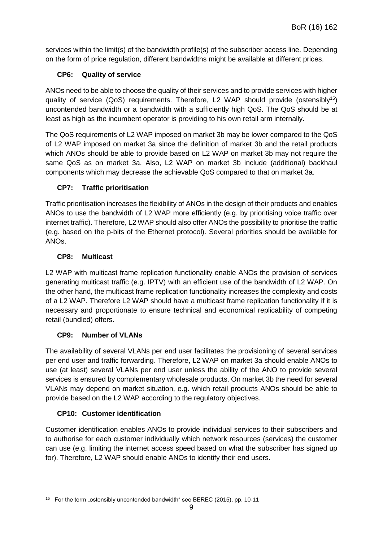services within the limit(s) of the bandwidth profile(s) of the subscriber access line. Depending on the form of price regulation, different bandwidths might be available at different prices.

#### **CP6: Quality of service**

ANOs need to be able to choose the quality of their services and to provide services with higher quality of service (QoS) requirements. Therefore, L2 WAP should provide (ostensibly<sup>15</sup>) uncontended bandwidth or a bandwidth with a sufficiently high QoS. The QoS should be at least as high as the incumbent operator is providing to his own retail arm internally.

The QoS requirements of L2 WAP imposed on market 3b may be lower compared to the QoS of L2 WAP imposed on market 3a since the definition of market 3b and the retail products which ANOs should be able to provide based on L2 WAP on market 3b may not require the same QoS as on market 3a. Also, L2 WAP on market 3b include (additional) backhaul components which may decrease the achievable QoS compared to that on market 3a.

#### **CP7: Traffic prioritisation**

Traffic prioritisation increases the flexibility of ANOs in the design of their products and enables ANOs to use the bandwidth of L2 WAP more efficiently (e.g. by prioritising voice traffic over internet traffic). Therefore, L2 WAP should also offer ANOs the possibility to prioritise the traffic (e.g. based on the p-bits of the Ethernet protocol). Several priorities should be available for ANOs.

#### **CP8: Multicast**

L2 WAP with multicast frame replication functionality enable ANOs the provision of services generating multicast traffic (e.g. IPTV) with an efficient use of the bandwidth of L2 WAP. On the other hand, the multicast frame replication functionality increases the complexity and costs of a L2 WAP. Therefore L2 WAP should have a multicast frame replication functionality if it is necessary and proportionate to ensure technical and economical replicability of competing retail (bundled) offers.

#### **CP9: Number of VLANs**

The availability of several VLANs per end user facilitates the provisioning of several services per end user and traffic forwarding. Therefore, L2 WAP on market 3a should enable ANOs to use (at least) several VLANs per end user unless the ability of the ANO to provide several services is ensured by complementary wholesale products. On market 3b the need for several VLANs may depend on market situation, e.g. which retail products ANOs should be able to provide based on the L2 WAP according to the regulatory objectives.

#### **CP10: Customer identification**

Customer identification enables ANOs to provide individual services to their subscribers and to authorise for each customer individually which network resources (services) the customer can use (e.g. limiting the internet access speed based on what the subscriber has signed up for). Therefore, L2 WAP should enable ANOs to identify their end users.

<sup>1</sup> <sup>15</sup> For the term "ostensibly uncontended bandwidth" see BEREC (2015), pp. 10-11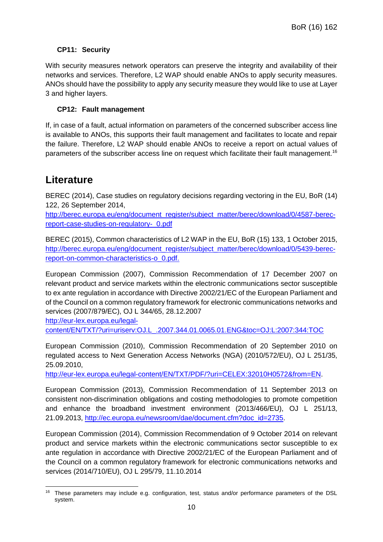#### **CP11: Security**

With security measures network operators can preserve the integrity and availability of their networks and services. Therefore, L2 WAP should enable ANOs to apply security measures. ANOs should have the possibility to apply any security measure they would like to use at Layer 3 and higher layers.

#### **CP12: Fault management**

If, in case of a fault, actual information on parameters of the concerned subscriber access line is available to ANOs, this supports their fault management and facilitates to locate and repair the failure. Therefore, L2 WAP should enable ANOs to receive a report on actual values of parameters of the subscriber access line on request which facilitate their fault management.<sup>16</sup>

### <span id="page-9-0"></span>**Literature**

BEREC (2014), Case studies on regulatory decisions regarding vectoring in the EU, BoR (14) 122, 26 September 2014,

[http://berec.europa.eu/eng/document\\_register/subject\\_matter/berec/download/0/4587-berec](http://berec.europa.eu/eng/document_register/subject_matter/berec/download/0/4587-berec-report-case-studies-on-regulatory-_0.pdf)[report-case-studies-on-regulatory-\\_0.pdf](http://berec.europa.eu/eng/document_register/subject_matter/berec/download/0/4587-berec-report-case-studies-on-regulatory-_0.pdf)

BEREC (2015), Common characteristics of L2 WAP in the EU, BoR (15) 133, 1 October 2015, [http://berec.europa.eu/eng/document\\_register/subject\\_matter/berec/download/0/5439-berec](http://berec.europa.eu/eng/document_register/subject_matter/berec/download/0/5439-berec-report-on-common-characteristics-o_0.pdf)[report-on-common-characteristics-o\\_0.pdf.](http://berec.europa.eu/eng/document_register/subject_matter/berec/download/0/5439-berec-report-on-common-characteristics-o_0.pdf)

European Commission (2007), Commission Recommendation of 17 December 2007 on relevant product and service markets within the electronic communications sector susceptible to ex ante regulation in accordance with Directive 2002/21/EC of the European Parliament and of the Council on a common regulatory framework for electronic communications networks and services (2007/879/EC), OJ L 344/65, 28.12.2007

http://eur-lex.europa.eu/legal-

content/EN/TXT/?uri=uriserv:OJ.L\_.2007.344.01.0065.01.ENG&toc=OJ:L:2007:344:TOC

European Commission (2010), Commission Recommendation of 20 September 2010 on regulated access to Next Generation Access Networks (NGA) (2010/572/EU), OJ L 251/35, 25.09.2010,

[http://eur-lex.europa.eu/legal-content/EN/TXT/PDF/?uri=CELEX:32010H0572&from=EN.](http://eur-lex.europa.eu/legal-content/EN/TXT/PDF/?uri=CELEX:32010H0572&from=EN)

European Commission (2013), Commission Recommendation of 11 September 2013 on consistent non-discrimination obligations and costing methodologies to promote competition and enhance the broadband investment environment (2013/466/EU), OJ L 251/13, 21.09.2013, [http://ec.europa.eu/newsroom/dae/document.cfm?doc\\_id=2735.](http://ec.europa.eu/newsroom/dae/document.cfm?doc_id=2735)

European Commission (2014), Commission Recommendation of 9 October 2014 on relevant product and service markets within the electronic communications sector susceptible to ex ante regulation in accordance with Directive 2002/21/EC of the European Parliament and of the Council on a common regulatory framework for electronic communications networks and services (2014/710/EU), OJ L 295/79, 11.10.2014

<sup>-</sup>These parameters may include e.g. configuration, test, status and/or performance parameters of the DSL system.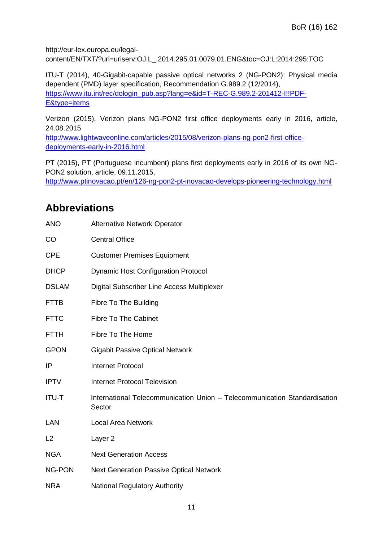http://eur-lex.europa.eu/legalcontent/EN/TXT/?uri=uriserv:OJ.L\_.2014.295.01.0079.01.ENG&toc=OJ:L:2014:295:TOC

ITU-T (2014), 40-Gigabit-capable passive optical networks 2 (NG-PON2): Physical media dependent (PMD) layer specification, Recommendation G.989.2 (12/2014), [https://www.itu.int/rec/dologin\\_pub.asp?lang=e&id=T-REC-G.989.2-201412-I!!PDF-](https://www.itu.int/rec/dologin_pub.asp?lang=e&id=T-REC-G.989.2-201412-I!!PDF-E&type=items)[E&type=items](https://www.itu.int/rec/dologin_pub.asp?lang=e&id=T-REC-G.989.2-201412-I!!PDF-E&type=items)

Verizon (2015), Verizon plans NG-PON2 first office deployments early in 2016, article, 24.08.2015

[http://www.lightwaveonline.com/articles/2015/08/verizon-plans-ng-pon2-first-office](http://www.lightwaveonline.com/articles/2015/08/verizon-plans-ng-pon2-first-office-deployments-early-in-2016.html)[deployments-early-in-2016.html](http://www.lightwaveonline.com/articles/2015/08/verizon-plans-ng-pon2-first-office-deployments-early-in-2016.html)

PT (2015), PT (Portuguese incumbent) plans first deployments early in 2016 of its own NG-PON2 solution, article, 09.11.2015,

http://www.ptinovacao.pt/en/126-ng-pon2-pt-inovacao-develops-pioneering-technology.html

### <span id="page-10-0"></span>**Abbreviations**

| <b>ANO</b>    | <b>Alternative Network Operator</b>                                                 |
|---------------|-------------------------------------------------------------------------------------|
| CO            | <b>Central Office</b>                                                               |
| <b>CPE</b>    | <b>Customer Premises Equipment</b>                                                  |
| <b>DHCP</b>   | <b>Dynamic Host Configuration Protocol</b>                                          |
| <b>DSLAM</b>  | <b>Digital Subscriber Line Access Multiplexer</b>                                   |
| <b>FTTB</b>   | <b>Fibre To The Building</b>                                                        |
| <b>FTTC</b>   | <b>Fibre To The Cabinet</b>                                                         |
| <b>FTTH</b>   | Fibre To The Home                                                                   |
| <b>GPON</b>   | <b>Gigabit Passive Optical Network</b>                                              |
| IP            | <b>Internet Protocol</b>                                                            |
| <b>IPTV</b>   | <b>Internet Protocol Television</b>                                                 |
| <b>ITU-T</b>  | International Telecommunication Union - Telecommunication Standardisation<br>Sector |
| LAN           | <b>Local Area Network</b>                                                           |
| L2            | Layer <sub>2</sub>                                                                  |
| <b>NGA</b>    | <b>Next Generation Access</b>                                                       |
| <b>NG-PON</b> | <b>Next Generation Passive Optical Network</b>                                      |
| <b>NRA</b>    | <b>National Regulatory Authority</b>                                                |